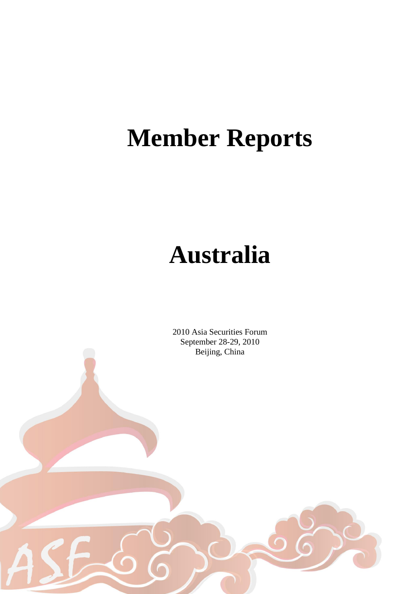# **Member Reports**

## **Australia**

2010 Asia Securities Forum September 28-29, 2010 Beijing, China

1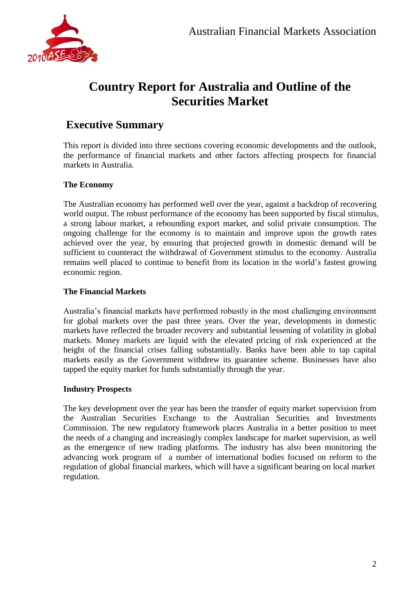

## **Country Report for Australia and Outline of the Securities Market**

### **Executive Summary**

This report is divided into three sections covering economic developments and the outlook, the performance of financial markets and other factors affecting prospects for financial markets in Australia.

#### **The Economy**

The Australian economy has performed well over the year, against a backdrop of recovering world output. The robust performance of the economy has been supported by fiscal stimulus, a strong labour market, a rebounding export market, and solid private consumption. The ongoing challenge for the economy is to maintain and improve upon the growth rates achieved over the year, by ensuring that projected growth in domestic demand will be sufficient to counteract the withdrawal of Government stimulus to the economy. Australia remains well placed to continue to benefit from its location in the world's fastest growing economic region.

#### **The Financial Markets**

Australia's financial markets have performed robustly in the most challenging environment for global markets over the past three years. Over the year, developments in domestic markets have reflected the broader recovery and substantial lessening of volatility in global markets. Money markets are liquid with the elevated pricing of risk experienced at the height of the financial crises falling substantially. Banks have been able to tap capital markets easily as the Government withdrew its guarantee scheme. Businesses have also tapped the equity market for funds substantially through the year.

#### **Industry Prospects**

The key development over the year has been the transfer of equity market supervision from the Australian Securities Exchange to the Australian Securities and Investments Commission. The new regulatory framework places Australia in a better position to meet the needs of a changing and increasingly complex landscape for market supervision, as well as the emergence of new trading platforms. The industry has also been monitoring the advancing work program of a number of international bodies focused on reform to the regulation of global financial markets, which will have a significant bearing on local market regulation.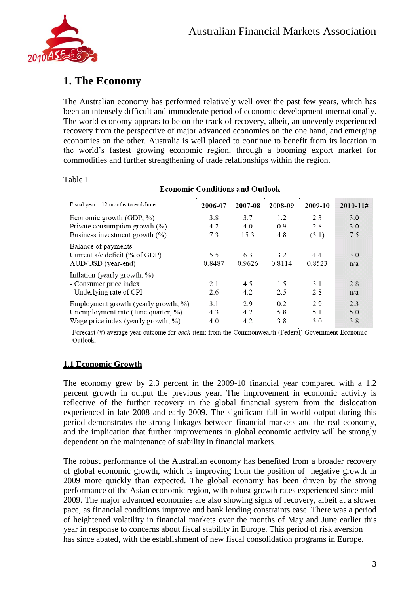

## **1. The Economy**

The Australian economy has performed relatively well over the past few years, which has been an intensely difficult and immoderate period of economic development internationally. The world economy appears to be on the track of recovery, albeit, an unevenly experienced recovery from the perspective of major advanced economies on the one hand, and emerging economies on the other. Australia is well placed to continue to benefit from its location in the world's fastest growing economic region, through a booming export market for commodities and further strengthening of trade relationships within the region.

#### Table 1

| Fiscal year $-12$ months to end-June                                                                               | 2006-07           | 2007-08           | 2008-09           | 2009-10           | $2010 - 11 \#$    |
|--------------------------------------------------------------------------------------------------------------------|-------------------|-------------------|-------------------|-------------------|-------------------|
| Economic growth (GDP, %)<br>Private consumption growth $(\%)$                                                      | 3.8<br>4.2        | 3.7<br>4.0        | 1.2<br>0.9        | 2.3<br>2.8        | 3.0<br>3.0        |
| Business investment growth (%)<br>Balance of payments                                                              | 7.3               | 15.3              | 4.8               | (3.1)             | 7.5               |
| Current a/c deficit (% of GDP)<br>AUD/USD (year-end)                                                               | 5.5<br>0.8487     | 6.3<br>0.9626     | 3.2<br>0.8114     | 4.4<br>0.8523     | 3.0<br>n/a        |
| Inflation (yearly growth, %)<br>- Consumer price index<br>- Underlying rate of CPI                                 | 2.1<br>2.6        | 4.5<br>4.2        | 1.5<br>2.5        | 3.1<br>2.8        | 2.8<br>n/a        |
| Employment growth (yearly growth, %)<br>Unemployment rate (June quarter, %)<br>Wage price index (yearly growth, %) | 3.1<br>4.3<br>4.0 | 2.9<br>4.2<br>4.2 | 0.2<br>5.8<br>3.8 | 2.9<br>5.1<br>3.0 | 2.3<br>5.0<br>3.8 |

#### **Economic Conditions and Outlook**

Forecast  $(\#)$  average year outcome for *each* item; from the Commonwealth (Federal) Government Economic Outlook.

#### **1.1 Economic Growth**

The economy grew by 2.3 percent in the 2009-10 financial year compared with a 1.2 percent growth in output the previous year. The improvement in economic activity is reflective of the further recovery in the global financial system from the dislocation experienced in late 2008 and early 2009. The significant fall in world output during this period demonstrates the strong linkages between financial markets and the real economy, and the implication that further improvements in global economic activity will be strongly dependent on the maintenance of stability in financial markets.

The robust performance of the Australian economy has benefited from a broader recovery of global economic growth, which is improving from the position of negative growth in 2009 more quickly than expected. The global economy has been driven by the strong performance of the Asian economic region, with robust growth rates experienced since mid-2009. The major advanced economies are also showing signs of recovery, albeit at a slower pace, as financial conditions improve and bank lending constraints ease. There was a period of heightened volatility in financial markets over the months of May and June earlier this year in response to concerns about fiscal stability in Europe. This period of risk aversion has since abated, with the establishment of new fiscal consolidation programs in Europe.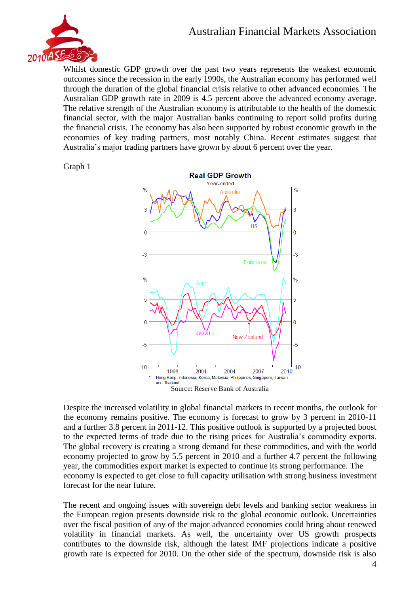### Australian Financial Markets Association



Whilst domestic GDP growth over the past two years represents the weakest economic outcomes since the recession in the early 1990s, the Australian economy has performed well through the duration of the global financial crisis relative to other advanced economies. The Australian GDP growth rate in 2009 is 4.5 percent above the advanced economy average. The relative strength of the Australian economy is attributable to the health of the domestic financial sector, with the major Australian banks continuing to report solid profits during the financial crisis. The economy has also been supported by robust economic growth in the economies of key trading partners, most notably China. Recent estimates suggest that Australia's major trading partners have grown by about 6 percent over the year.

#### Graph 1



Despite the increased volatility in global financial markets in recent months, the outlook for the economy remains positive. The economy is forecast to grow by 3 percent in 2010-11 and a further 3.8 percent in 2011-12. This positive outlook is supported by a projected boost to the expected terms of trade due to the rising prices for Australia's commodity exports. The global recovery is creating a strong demand for these commodities, and with the world economy projected to grow by 5.5 percent in 2010 and a further 4.7 percent the following year, the commodities export market is expected to continue its strong performance. The economy is expected to get close to full capacity utilisation with strong business investment forecast for the near future.

The recent and ongoing issues with sovereign debt levels and banking sector weakness in the European region presents downside risk to the global economic outlook. Uncertainties over the fiscal position of any of the major advanced economies could bring about renewed volatility in financial markets. As well, the uncertainty over US growth prospects contributes to the downside risk, although the latest IMF projections indicate a positive growth rate is expected for 2010. On the other side of the spectrum, downside risk is also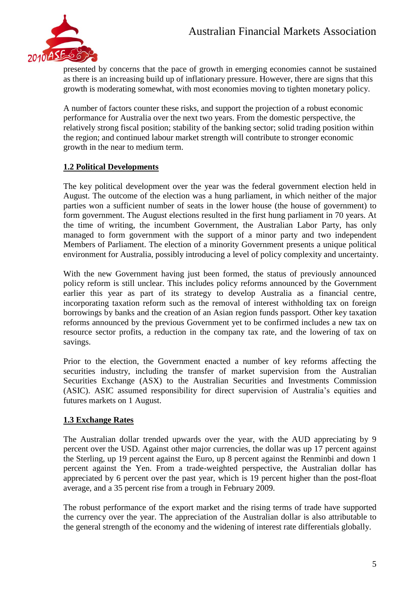

presented by concerns that the pace of growth in emerging economies cannot be sustained as there is an increasing build up of inflationary pressure. However, there are signs that this growth is moderating somewhat, with most economies moving to tighten monetary policy.

A number of factors counter these risks, and support the projection of a robust economic performance for Australia over the next two years. From the domestic perspective, the relatively strong fiscal position; stability of the banking sector; solid trading position within the region; and continued labour market strength will contribute to stronger economic growth in the near to medium term.

#### **1.2 Political Developments**

The key political development over the year was the federal government election held in August. The outcome of the election was a hung parliament, in which neither of the major parties won a sufficient number of seats in the lower house (the house of government) to form government. The August elections resulted in the first hung parliament in 70 years. At the time of writing, the incumbent Government, the Australian Labor Party, has only managed to form government with the support of a minor party and two independent Members of Parliament. The election of a minority Government presents a unique political environment for Australia, possibly introducing a level of policy complexity and uncertainty.

With the new Government having just been formed, the status of previously announced policy reform is still unclear. This includes policy reforms announced by the Government earlier this year as part of its strategy to develop Australia as a financial centre, incorporating taxation reform such as the removal of interest withholding tax on foreign borrowings by banks and the creation of an Asian region funds passport. Other key taxation reforms announced by the previous Government yet to be confirmed includes a new tax on resource sector profits, a reduction in the company tax rate, and the lowering of tax on savings.

Prior to the election, the Government enacted a number of key reforms affecting the securities industry, including the transfer of market supervision from the Australian Securities Exchange (ASX) to the Australian Securities and Investments Commission (ASIC). ASIC assumed responsibility for direct supervision of Australia's equities and futures markets on 1 August.

#### **1.3 Exchange Rates**

The Australian dollar trended upwards over the year, with the AUD appreciating by 9 percent over the USD. Against other major currencies, the dollar was up 17 percent against the Sterling, up 19 percent against the Euro, up 8 percent against the Renminbi and down 1 percent against the Yen. From a trade-weighted perspective, the Australian dollar has appreciated by 6 percent over the past year, which is 19 percent higher than the post-float average, and a 35 percent rise from a trough in February 2009.

The robust performance of the export market and the rising terms of trade have supported the currency over the year. The appreciation of the Australian dollar is also attributable to the general strength of the economy and the widening of interest rate differentials globally.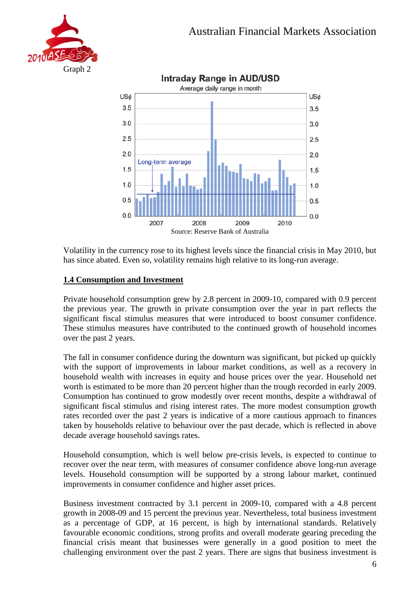



Volatility in the currency rose to its highest levels since the financial crisis in May 2010, but has since abated. Even so, volatility remains high relative to its long-run average.

#### **1.4 Consumption and Investment**

Private household consumption grew by 2.8 percent in 2009-10, compared with 0.9 percent the previous year. The growth in private consumption over the year in part reflects the significant fiscal stimulus measures that were introduced to boost consumer confidence. These stimulus measures have contributed to the continued growth of household incomes over the past 2 years.

The fall in consumer confidence during the downturn was significant, but picked up quickly with the support of improvements in labour market conditions, as well as a recovery in household wealth with increases in equity and house prices over the year. Household net worth is estimated to be more than 20 percent higher than the trough recorded in early 2009. Consumption has continued to grow modestly over recent months, despite a withdrawal of significant fiscal stimulus and rising interest rates. The more modest consumption growth rates recorded over the past 2 years is indicative of a more cautious approach to finances taken by households relative to behaviour over the past decade, which is reflected in above decade average household savings rates.

Household consumption, which is well below pre-crisis levels, is expected to continue to recover over the near term, with measures of consumer confidence above long-run average levels. Household consumption will be supported by a strong labour market, continued improvements in consumer confidence and higher asset prices.

Business investment contracted by 3.1 percent in 2009-10, compared with a 4.8 percent growth in 2008-09 and 15 percent the previous year. Nevertheless, total business investment as a percentage of GDP, at 16 percent, is high by international standards. Relatively favourable economic conditions, strong profits and overall moderate gearing preceding the financial crisis meant that businesses were generally in a good position to meet the challenging environment over the past 2 years. There are signs that business investment is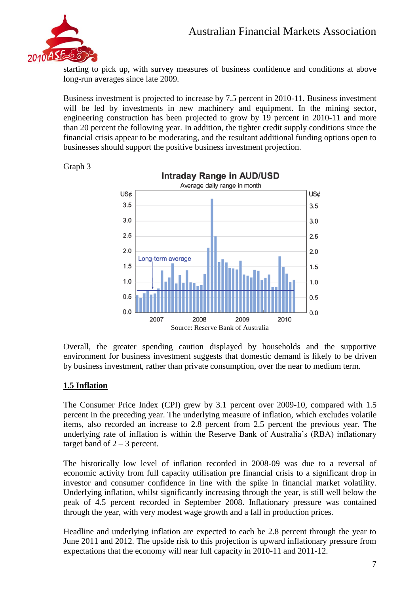

starting to pick up, with survey measures of business confidence and conditions at above long-run averages since late 2009.

Business investment is projected to increase by 7.5 percent in 2010-11. Business investment will be led by investments in new machinery and equipment. In the mining sector, engineering construction has been projected to grow by 19 percent in 2010-11 and more than 20 percent the following year. In addition, the tighter credit supply conditions since the financial crisis appear to be moderating, and the resultant additional funding options open to businesses should support the positive business investment projection.



Graph 3

Overall, the greater spending caution displayed by households and the supportive environment for business investment suggests that domestic demand is likely to be driven by business investment, rather than private consumption, over the near to medium term.

#### **1.5 Inflation**

The Consumer Price Index (CPI) grew by 3.1 percent over 2009-10, compared with 1.5 percent in the preceding year. The underlying measure of inflation, which excludes volatile items, also recorded an increase to 2.8 percent from 2.5 percent the previous year. The underlying rate of inflation is within the Reserve Bank of Australia's (RBA) inflationary target band of  $2 - 3$  percent.

The historically low level of inflation recorded in 2008-09 was due to a reversal of economic activity from full capacity utilisation pre financial crisis to a significant drop in investor and consumer confidence in line with the spike in financial market volatility. Underlying inflation, whilst significantly increasing through the year, is still well below the peak of 4.5 percent recorded in September 2008. Inflationary pressure was contained through the year, with very modest wage growth and a fall in production prices.

Headline and underlying inflation are expected to each be 2.8 percent through the year to June 2011 and 2012. The upside risk to this projection is upward inflationary pressure from expectations that the economy will near full capacity in 2010-11 and 2011-12.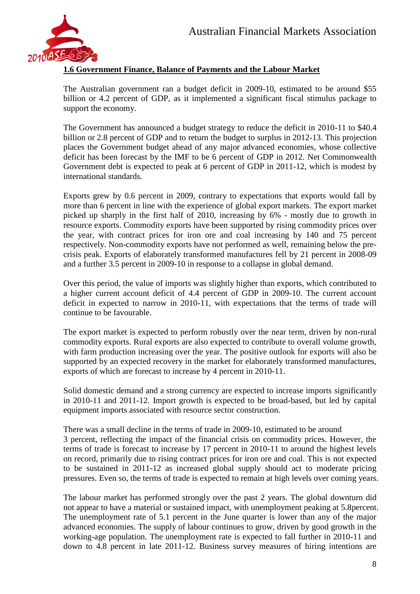

#### **1.6 Government Finance, Balance of Payments and the Labour Market**

The Australian government ran a budget deficit in 2009-10, estimated to be around \$55 billion or 4.2 percent of GDP, as it implemented a significant fiscal stimulus package to support the economy.

The Government has announced a budget strategy to reduce the deficit in 2010-11 to \$40.4 billion or 2.8 percent of GDP and to return the budget to surplus in 2012-13. This projection places the Government budget ahead of any major advanced economies, whose collective deficit has been forecast by the IMF to be 6 percent of GDP in 2012. Net Commonwealth Government debt is expected to peak at 6 percent of GDP in 2011-12, which is modest by international standards.

Exports grew by 0.6 percent in 2009, contrary to expectations that exports would fall by more than 6 percent in line with the experience of global export markets. The export market picked up sharply in the first half of 2010, increasing by 6% - mostly due to growth in resource exports. Commodity exports have been supported by rising commodity prices over the year, with contract prices for iron ore and coal increasing by 140 and 75 percent respectively. Non-commodity exports have not performed as well, remaining below the precrisis peak. Exports of elaborately transformed manufactures fell by 21 percent in 2008-09 and a further 3.5 percent in 2009-10 in response to a collapse in global demand.

Over this period, the value of imports was slightly higher than exports, which contributed to a higher current account deficit of 4.4 percent of GDP in 2009-10. The current account deficit in expected to narrow in 2010-11, with expectations that the terms of trade will continue to be favourable.

The export market is expected to perform robustly over the near term, driven by non-rural commodity exports. Rural exports are also expected to contribute to overall volume growth, with farm production increasing over the year. The positive outlook for exports will also be supported by an expected recovery in the market for elaborately transformed manufactures, exports of which are forecast to increase by 4 percent in 2010-11.

Solid domestic demand and a strong currency are expected to increase imports significantly in 2010-11 and 2011-12. Import growth is expected to be broad-based, but led by capital equipment imports associated with resource sector construction.

There was a small decline in the terms of trade in 2009-10, estimated to be around 3 percent, reflecting the impact of the financial crisis on commodity prices. However, the terms of trade is forecast to increase by 17 percent in 2010-11 to around the highest levels on record, primarily due to rising contract prices for iron ore and coal. This is not expected to be sustained in 2011-12 as increased global supply should act to moderate pricing pressures. Even so, the terms of trade is expected to remain at high levels over coming years.

The labour market has performed strongly over the past 2 years. The global downturn did not appear to have a material or sustained impact, with unemployment peaking at 5.8percent. The unemployment rate of 5.1 percent in the June quarter is lower than any of the major advanced economies. The supply of labour continues to grow, driven by good growth in the working-age population. The unemployment rate is expected to fall further in 2010-11 and down to 4.8 percent in late 2011-12. Business survey measures of hiring intentions are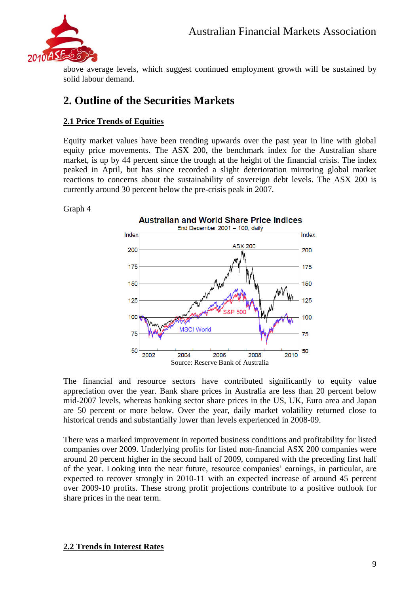

above average levels, which suggest continued employment growth will be sustained by solid labour demand.

## **2. Outline of the Securities Markets**

#### **2.1 Price Trends of Equities**

Equity market values have been trending upwards over the past year in line with global equity price movements. The ASX 200, the benchmark index for the Australian share market, is up by 44 percent since the trough at the height of the financial crisis. The index peaked in April, but has since recorded a slight deterioration mirroring global market reactions to concerns about the sustainability of sovereign debt levels. The ASX 200 is currently around 30 percent below the pre-crisis peak in 2007.

Graph 4



The financial and resource sectors have contributed significantly to equity value appreciation over the year. Bank share prices in Australia are less than 20 percent below mid-2007 levels, whereas banking sector share prices in the US, UK, Euro area and Japan are 50 percent or more below. Over the year, daily market volatility returned close to historical trends and substantially lower than levels experienced in 2008-09.

There was a marked improvement in reported business conditions and profitability for listed companies over 2009. Underlying profits for listed non-financial ASX 200 companies were around 20 percent higher in the second half of 2009, compared with the preceding first half of the year. Looking into the near future, resource companies' earnings, in particular, are expected to recover strongly in 2010-11 with an expected increase of around 45 percent over 2009-10 profits. These strong profit projections contribute to a positive outlook for share prices in the near term.

#### **2.2 Trends in Interest Rates**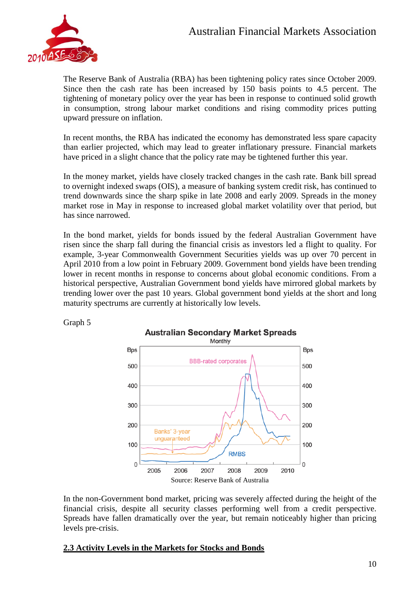

Graph 5

The Reserve Bank of Australia (RBA) has been tightening policy rates since October 2009. Since then the cash rate has been increased by 150 basis points to 4.5 percent. The tightening of monetary policy over the year has been in response to continued solid growth in consumption, strong labour market conditions and rising commodity prices putting upward pressure on inflation.

In recent months, the RBA has indicated the economy has demonstrated less spare capacity than earlier projected, which may lead to greater inflationary pressure. Financial markets have priced in a slight chance that the policy rate may be tightened further this year.

In the money market, yields have closely tracked changes in the cash rate. Bank bill spread to overnight indexed swaps (OIS), a measure of banking system credit risk, has continued to trend downwards since the sharp spike in late 2008 and early 2009. Spreads in the money market rose in May in response to increased global market volatility over that period, but has since narrowed.

In the bond market, yields for bonds issued by the federal Australian Government have risen since the sharp fall during the financial crisis as investors led a flight to quality. For example, 3-year Commonwealth Government Securities yields was up over 70 percent in April 2010 from a low point in February 2009. Government bond yields have been trending lower in recent months in response to concerns about global economic conditions. From a historical perspective, Australian Government bond yields have mirrored global markets by trending lower over the past 10 years. Global government bond yields at the short and long maturity spectrums are currently at historically low levels.



In the non-Government bond market, pricing was severely affected during the height of the financial crisis, despite all security classes performing well from a credit perspective. Spreads have fallen dramatically over the year, but remain noticeably higher than pricing levels pre-crisis.

#### **2.3 Activity Levels in the Markets for Stocks and Bonds**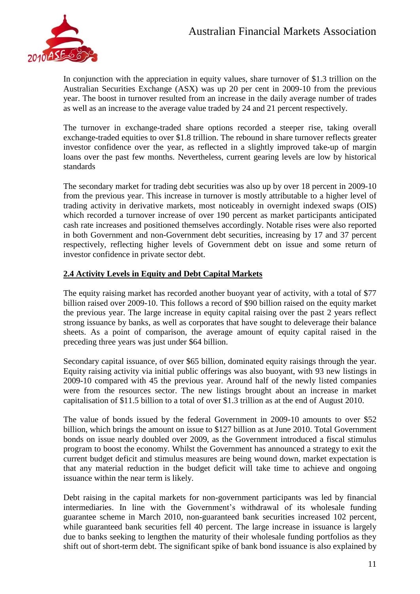

In conjunction with the appreciation in equity values, share turnover of \$1.3 trillion on the Australian Securities Exchange (ASX) was up 20 per cent in 2009-10 from the previous year. The boost in turnover resulted from an increase in the daily average number of trades as well as an increase to the average value traded by 24 and 21 percent respectively.

The turnover in exchange-traded share options recorded a steeper rise, taking overall exchange-traded equities to over \$1.8 trillion. The rebound in share turnover reflects greater investor confidence over the year, as reflected in a slightly improved take-up of margin loans over the past few months. Nevertheless, current gearing levels are low by historical standards

The secondary market for trading debt securities was also up by over 18 percent in 2009-10 from the previous year. This increase in turnover is mostly attributable to a higher level of trading activity in derivative markets, most noticeably in overnight indexed swaps (OIS) which recorded a turnover increase of over 190 percent as market participants anticipated cash rate increases and positioned themselves accordingly. Notable rises were also reported in both Government and non-Government debt securities, increasing by 17 and 37 percent respectively, reflecting higher levels of Government debt on issue and some return of investor confidence in private sector debt.

#### **2.4 Activity Levels in Equity and Debt Capital Markets**

The equity raising market has recorded another buoyant year of activity, with a total of \$77 billion raised over 2009-10. This follows a record of \$90 billion raised on the equity market the previous year. The large increase in equity capital raising over the past 2 years reflect strong issuance by banks, as well as corporates that have sought to deleverage their balance sheets. As a point of comparison, the average amount of equity capital raised in the preceding three years was just under \$64 billion.

Secondary capital issuance, of over \$65 billion, dominated equity raisings through the year. Equity raising activity via initial public offerings was also buoyant, with 93 new listings in 2009-10 compared with 45 the previous year. Around half of the newly listed companies were from the resources sector. The new listings brought about an increase in market capitalisation of \$11.5 billion to a total of over \$1.3 trillion as at the end of August 2010.

The value of bonds issued by the federal Government in 2009-10 amounts to over \$52 billion, which brings the amount on issue to \$127 billion as at June 2010. Total Government bonds on issue nearly doubled over 2009, as the Government introduced a fiscal stimulus program to boost the economy. Whilst the Government has announced a strategy to exit the current budget deficit and stimulus measures are being wound down, market expectation is that any material reduction in the budget deficit will take time to achieve and ongoing issuance within the near term is likely.

Debt raising in the capital markets for non-government participants was led by financial intermediaries. In line with the Government's withdrawal of its wholesale funding guarantee scheme in March 2010, non-guaranteed bank securities increased 102 percent, while guaranteed bank securities fell 40 percent. The large increase in issuance is largely due to banks seeking to lengthen the maturity of their wholesale funding portfolios as they shift out of short-term debt. The significant spike of bank bond issuance is also explained by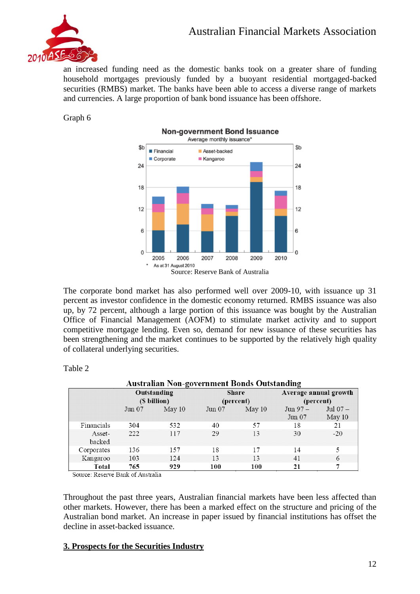

an increased funding need as the domestic banks took on a greater share of funding household mortgages previously funded by a buoyant residential mortgaged-backed securities (RMBS) market. The banks have been able to access a diverse range of markets and currencies. A large proportion of bank bond issuance has been offshore.

Graph 6



The corporate bond market has also performed well over 2009-10, with issuance up 31 percent as investor confidence in the domestic economy returned. RMBS issuance was also up, by 72 percent, although a large portion of this issuance was bought by the Australian Office of Financial Management (AOFM) to stimulate market activity and to support competitive mortgage lending. Even so, demand for new issuance of these securities has been strengthening and the market continues to be supported by the relatively high quality of collateral underlying securities.

| Australian Non-government Bonds Outstanding |                             |        |                           |        |                                    |                     |  |  |  |  |
|---------------------------------------------|-----------------------------|--------|---------------------------|--------|------------------------------------|---------------------|--|--|--|--|
|                                             | Outstanding<br>(\$ billion) |        | <b>Share</b><br>(percent) |        | Average annual growth<br>(percent) |                     |  |  |  |  |
|                                             | $_{\text{Jun}}$ 07          | May 10 | Jun 07                    | May 10 | $Jun 97 -$<br>Jun 07               | Jul $07-$<br>May 10 |  |  |  |  |
| Financials                                  | 304                         | 532    | 40                        | 57     | 18                                 | 21                  |  |  |  |  |
| Asset-<br>backed                            | 222                         | 117    | 29                        | 13     | 30                                 | $-20$               |  |  |  |  |
| Corporates                                  | 136                         | 157    | 18                        | 17     | 14                                 | 5                   |  |  |  |  |
| Kangaroo                                    | 103                         | 124    | 13                        | 13     | 41                                 | 6                   |  |  |  |  |
| Total                                       | 765                         | 929    | 100                       | 100    | 21                                 | 7                   |  |  |  |  |

Table 2

Source: Reserve Bank of Australia

Throughout the past three years, Australian financial markets have been less affected than other markets. However, there has been a marked effect on the structure and pricing of the Australian bond market. An increase in paper issued by financial institutions has offset the decline in asset-backed issuance.

#### **3. Prospects for the Securities Industry**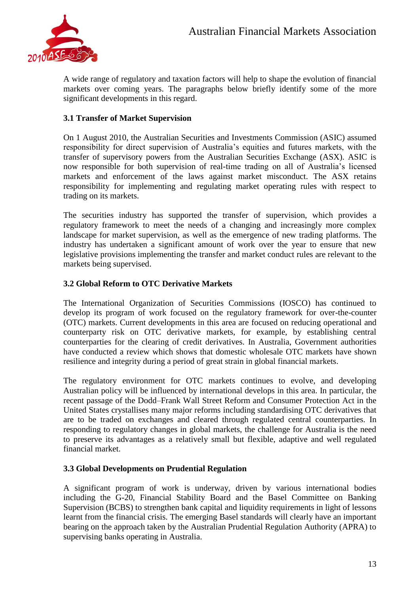

A wide range of regulatory and taxation factors will help to shape the evolution of financial markets over coming years. The paragraphs below briefly identify some of the more significant developments in this regard.

#### **3.1 Transfer of Market Supervision**

On 1 August 2010, the Australian Securities and Investments Commission (ASIC) assumed responsibility for direct supervision of Australia's equities and futures markets, with the transfer of supervisory powers from the Australian Securities Exchange (ASX). ASIC is now responsible for both supervision of real-time trading on all of Australia's licensed markets and enforcement of the laws against market misconduct. The ASX retains responsibility for implementing and regulating market operating rules with respect to trading on its markets.

The securities industry has supported the transfer of supervision, which provides a regulatory framework to meet the needs of a changing and increasingly more complex landscape for market supervision, as well as the emergence of new trading platforms. The industry has undertaken a significant amount of work over the year to ensure that new legislative provisions implementing the transfer and market conduct rules are relevant to the markets being supervised.

#### **3.2 Global Reform to OTC Derivative Markets**

The International Organization of Securities Commissions (IOSCO) has continued to develop its program of work focused on the regulatory framework for over-the-counter (OTC) markets. Current developments in this area are focused on reducing operational and counterparty risk on OTC derivative markets, for example, by establishing central counterparties for the clearing of credit derivatives. In Australia, Government authorities have conducted a review which shows that domestic wholesale OTC markets have shown resilience and integrity during a period of great strain in global financial markets.

The regulatory environment for OTC markets continues to evolve, and developing Australian policy will be influenced by international develops in this area. In particular, the recent passage of the Dodd–Frank Wall Street Reform and Consumer Protection Act in the United States crystallises many major reforms including standardising OTC derivatives that are to be traded on exchanges and cleared through regulated central counterparties. In responding to regulatory changes in global markets, the challenge for Australia is the need to preserve its advantages as a relatively small but flexible, adaptive and well regulated financial market.

#### **3.3 Global Developments on Prudential Regulation**

A significant program of work is underway, driven by various international bodies including the G-20, Financial Stability Board and the Basel Committee on Banking Supervision (BCBS) to strengthen bank capital and liquidity requirements in light of lessons learnt from the financial crisis. The emerging Basel standards will clearly have an important bearing on the approach taken by the Australian Prudential Regulation Authority (APRA) to supervising banks operating in Australia.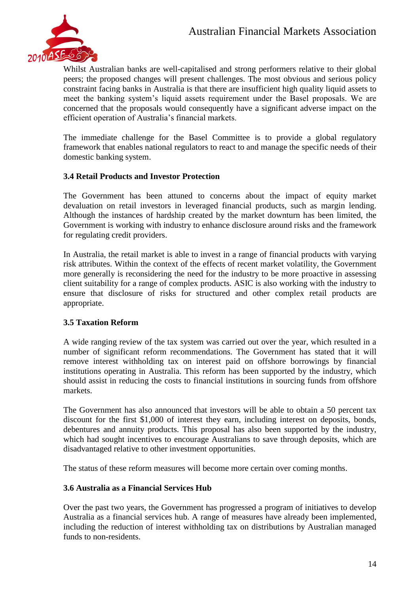

Whilst Australian banks are well-capitalised and strong performers relative to their global peers; the proposed changes will present challenges. The most obvious and serious policy constraint facing banks in Australia is that there are insufficient high quality liquid assets to meet the banking system's liquid assets requirement under the Basel proposals. We are concerned that the proposals would consequently have a significant adverse impact on the efficient operation of Australia's financial markets.

The immediate challenge for the Basel Committee is to provide a global regulatory framework that enables national regulators to react to and manage the specific needs of their domestic banking system.

#### **3.4 Retail Products and Investor Protection**

The Government has been attuned to concerns about the impact of equity market devaluation on retail investors in leveraged financial products, such as margin lending. Although the instances of hardship created by the market downturn has been limited, the Government is working with industry to enhance disclosure around risks and the framework for regulating credit providers.

In Australia, the retail market is able to invest in a range of financial products with varying risk attributes. Within the context of the effects of recent market volatility, the Government more generally is reconsidering the need for the industry to be more proactive in assessing client suitability for a range of complex products. ASIC is also working with the industry to ensure that disclosure of risks for structured and other complex retail products are appropriate.

#### **3.5 Taxation Reform**

A wide ranging review of the tax system was carried out over the year, which resulted in a number of significant reform recommendations. The Government has stated that it will remove interest withholding tax on interest paid on offshore borrowings by financial institutions operating in Australia. This reform has been supported by the industry, which should assist in reducing the costs to financial institutions in sourcing funds from offshore markets.

The Government has also announced that investors will be able to obtain a 50 percent tax discount for the first \$1,000 of interest they earn, including interest on deposits, bonds. debentures and annuity products. This proposal has also been supported by the industry, which had sought incentives to encourage Australians to save through deposits, which are disadvantaged relative to other investment opportunities.

The status of these reform measures will become more certain over coming months.

#### **3.6 Australia as a Financial Services Hub**

Over the past two years, the Government has progressed a program of initiatives to develop Australia as a financial services hub. A range of measures have already been implemented, including the reduction of interest withholding tax on distributions by Australian managed funds to non-residents.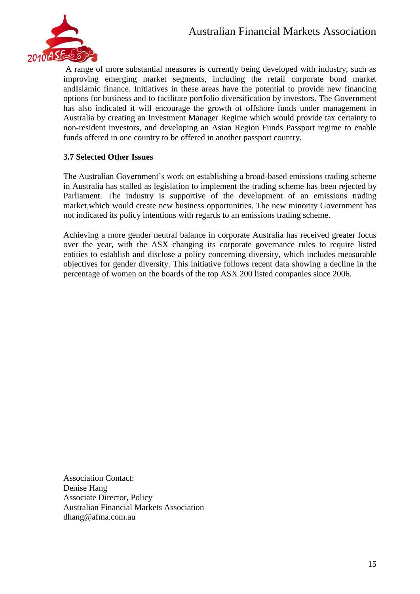

A range of more substantial measures is currently being developed with industry, such as improving emerging market segments, including the retail corporate bond market andIslamic finance. Initiatives in these areas have the potential to provide new financing options for business and to facilitate portfolio diversification by investors. The Government has also indicated it will encourage the growth of offshore funds under management in Australia by creating an Investment Manager Regime which would provide tax certainty to non-resident investors, and developing an Asian Region Funds Passport regime to enable funds offered in one country to be offered in another passport country.

#### **3.7 Selected Other Issues**

The Australian Government's work on establishing a broad-based emissions trading scheme in Australia has stalled as legislation to implement the trading scheme has been rejected by Parliament. The industry is supportive of the development of an emissions trading market,which would create new business opportunities. The new minority Government has not indicated its policy intentions with regards to an emissions trading scheme.

Achieving a more gender neutral balance in corporate Australia has received greater focus over the year, with the ASX changing its corporate governance rules to require listed entities to establish and disclose a policy concerning diversity, which includes measurable objectives for gender diversity. This initiative follows recent data showing a decline in the percentage of women on the boards of the top ASX 200 listed companies since 2006.

Association Contact: Denise Hang Associate Director, Policy Australian Financial Markets Association dhang@afma.com.au